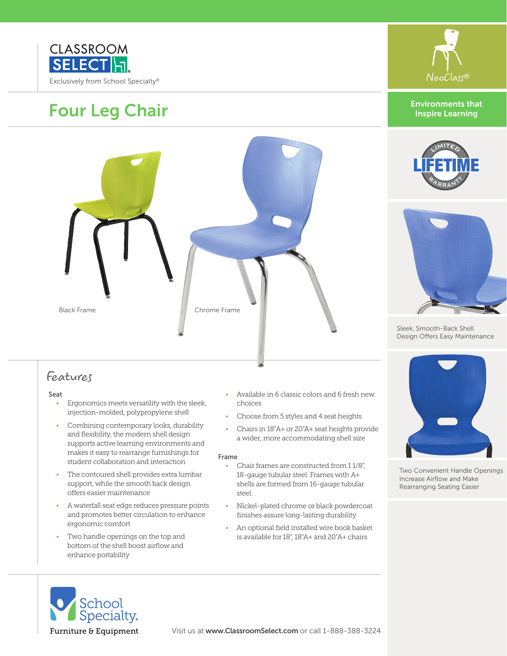

# Four Leg Chair



### Features

#### Seat

- Ergonomics meets versatility with the sleek, injection-molded, polypropylene shell
- Combining contemporary looks, durability and flexibility, the modern shell design supports active learning environments and makes it easy to rearrange furnishings for student collaboration and interaction
- The contoured shell provides extra lumbar support, while the smooth back design offers easier maintenance
- A waterfall seat edge reduces pressure points and promotes better circulation to enhance ergonomic comfort
- Two handle openings on the top and bottom of the shell boost airflow and enhance portability
- Available in 6 classic colors and 6 fresh new choices
- Choose from 5 styles and 4 seat heights
- Chairs in 18"A+ or 20"A+ seat heights provide a wider, more accommodating shell size

#### Frame

- Chair frames are constructed from 1 1/8", 18-gauge tubular steel. Frames with A+ shells are formed from 16-gauge tubular steel.
- Nickel-plated chrome or black powdercoat finishes assure long-lasting durability
- An optional field installed wire book basket is available for 18", 18"A+ and 20"A+ chairs









Sleek, Smooth-Back Shell Design Offers Easy Maintenance



Two Convenient Handle Openings Increase Airflow and Make Rearranging Seating Easier